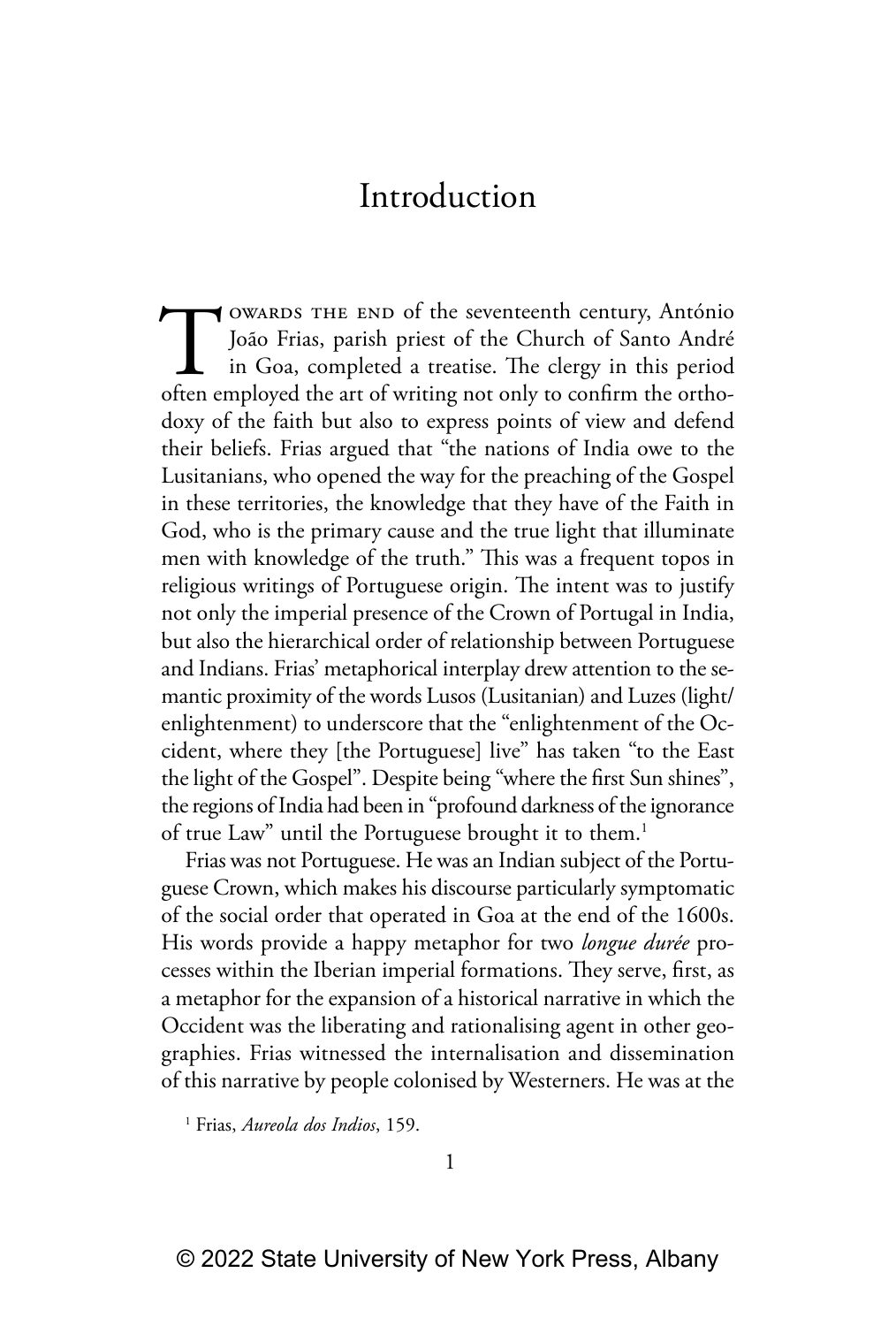TOWARDS THE END of the seventeenth century, António João Frias, parish priest of the Church of Santo André in Goa, completed a treatise. The clergy in this period often employed the art of writing not only to confirm the o owards the end of the seventeenth century, António João Frias, parish priest of the Church of Santo André in Goa, completed a treatise. The clergy in this period doxy of the faith but also to express points of view and defend their beliefs. Frias argued that "the nations of India owe to the Lusitanians, who opened the way for the preaching of the Gospel in these territories, the knowledge that they have of the Faith in God, who is the primary cause and the true light that illuminate men with knowledge of the truth." This was a frequent topos in religious writings of Portuguese origin. The intent was to justify not only the imperial presence of the Crown of Portugal in India, but also the hierarchical order of relationship between Portuguese and Indians. Frias' metaphorical interplay drew attention to the semantic proximity of the words Lusos (Lusitanian) and Luzes (light/ enlightenment) to underscore that the "enlightenment of the Occident, where they [the Portuguese] live" has taken "to the East the light of the Gospel". Despite being "where the first Sun shines", the regions of India had been in "profound darkness of the ignorance of true Law" until the Portuguese brought it to them.<sup>1</sup>

Frias was not Portuguese. He was an Indian subject of the Portuguese Crown, which makes his discourse particularly symptomatic of the social order that operated in Goa at the end of the 1600s. His words provide a happy metaphor for two *longue durée* processes within the Iberian imperial formations. They serve, first, as a metaphor for the expansion of a historical narrative in which the Occident was the liberating and rationalising agent in other geographies. Frias witnessed the internalisation and dissemination of this narrative by people colonised by Westerners. He was at the

1 Frias, *Aureola dos Indios*, 159.

1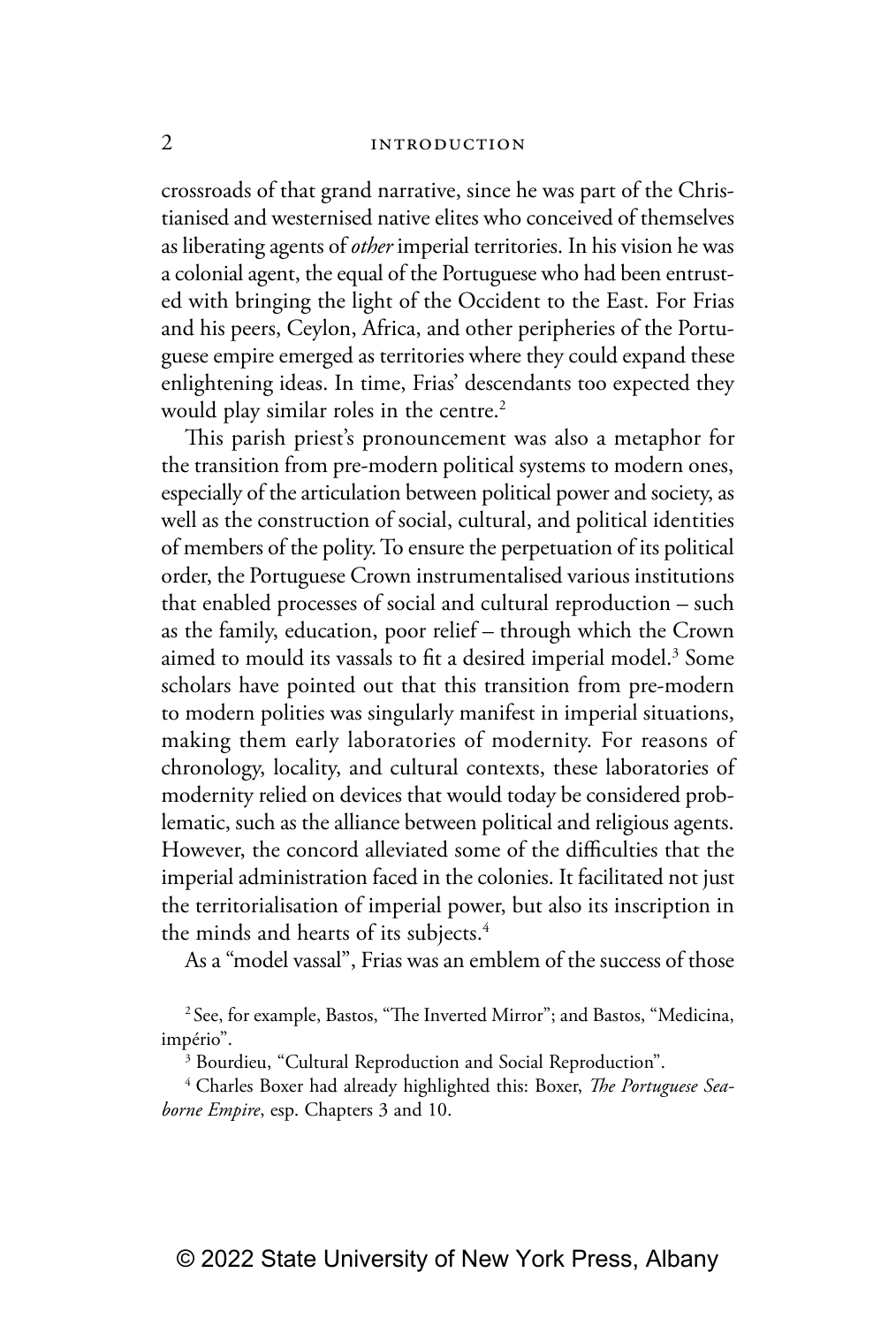crossroads of that grand narrative, since he was part of the Christianised and westernised native elites who conceived of themselves as liberating agents of *other* imperial territories. In his vision he was a colonial agent, the equal of the Portuguese who had been entrusted with bringing the light of the Occident to the East. For Frias and his peers, Ceylon, Africa, and other peripheries of the Portuguese empire emerged as territories where they could expand these enlightening ideas. In time, Frias' descendants too expected they would play similar roles in the centre.<sup>2</sup>

This parish priest's pronouncement was also a metaphor for the transition from pre-modern political systems to modern ones, especially of the articulation between political power and society, as well as the construction of social, cultural, and political identities of members of the polity. To ensure the perpetuation of its political order, the Portuguese Crown instrumentalised various institutions that enabled processes of social and cultural reproduction – such as the family, education, poor relief – through which the Crown aimed to mould its vassals to fit a desired imperial model. $^3$  Some scholars have pointed out that this transition from pre-modern to modern polities was singularly manifest in imperial situations, making them early laboratories of modernity. For reasons of chronology, locality, and cultural contexts, these laboratories of modernity relied on devices that would today be considered problematic, such as the alliance between political and religious agents. However, the concord alleviated some of the difficulties that the imperial administration faced in the colonies. It facilitated not just the territorialisation of imperial power, but also its inscription in the minds and hearts of its subjects.<sup>4</sup>

As a "model vassal", Frias was an emblem of the success of those

<sup>2</sup> See, for example, Bastos, "The Inverted Mirror"; and Bastos, "Medicina, império".

<sup>3</sup> Bourdieu, "Cultural Reproduction and Social Reproduction".

4 Charles Boxer had already highlighted this: Boxer, *The Portuguese Seaborne Empire*, esp. Chapters 3 and 10.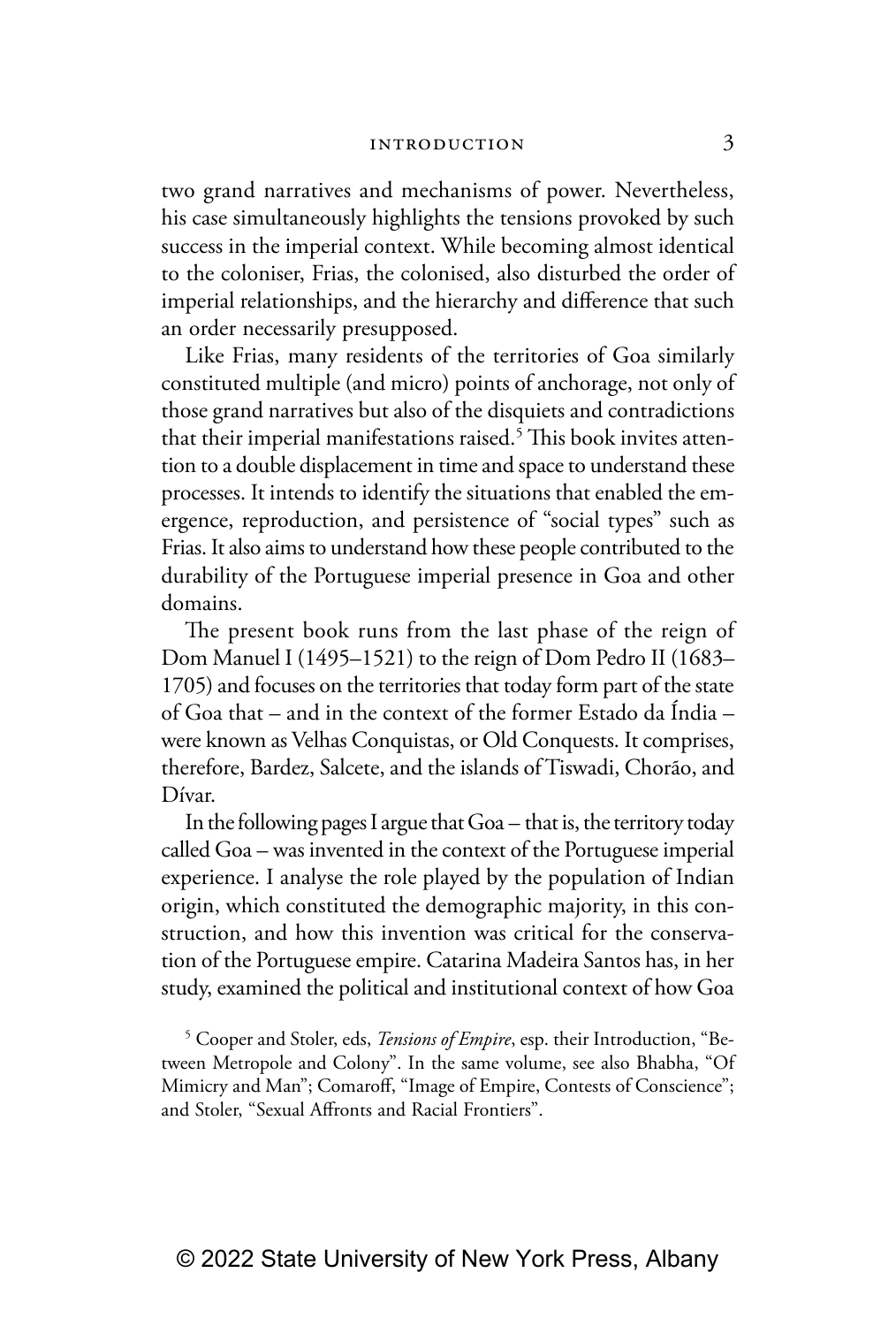two grand narratives and mechanisms of power. Nevertheless, his case simultaneously highlights the tensions provoked by such success in the imperial context. While becoming almost identical to the coloniser, Frias, the colonised, also disturbed the order of imperial relationships, and the hierarchy and difference that such an order necessarily presupposed.

Like Frias, many residents of the territories of Goa similarly constituted multiple (and micro) points of anchorage, not only of those grand narratives but also of the disquiets and contradictions that their imperial manifestations raised.<sup>5</sup> This book invites attention to a double displacement in time and space to understand these processes. It intends to identify the situations that enabled the emergence, reproduction, and persistence of "social types" such as Frias. It also aims to understand how these people contributed to the durability of the Portuguese imperial presence in Goa and other domains.

The present book runs from the last phase of the reign of Dom Manuel I (1495–1521) to the reign of Dom Pedro II (1683– 1705) and focuses on the territories that today form part of the state of Goa that – and in the context of the former Estado da Índia – were known as Velhas Conquistas, or Old Conquests. It comprises, therefore, Bardez, Salcete, and the islands of Tiswadi, Chorão, and Dívar.

In the following pages I argue that Goa – that is, the territory today called Goa – was invented in the context of the Portuguese imperial experience. I analyse the role played by the population of Indian origin, which constituted the demographic majority, in this construction, and how this invention was critical for the conservation of the Portuguese empire. Catarina Madeira Santos has, in her study, examined the political and institutional context of how Goa

5 Cooper and Stoler, eds, *Tensions of Empire*, esp. their Introduction, "Between Metropole and Colony". In the same volume, see also Bhabha, "Of Mimicry and Man"; Comaroff, "Image of Empire, Contests of Conscience"; and Stoler, "Sexual Affronts and Racial Frontiers".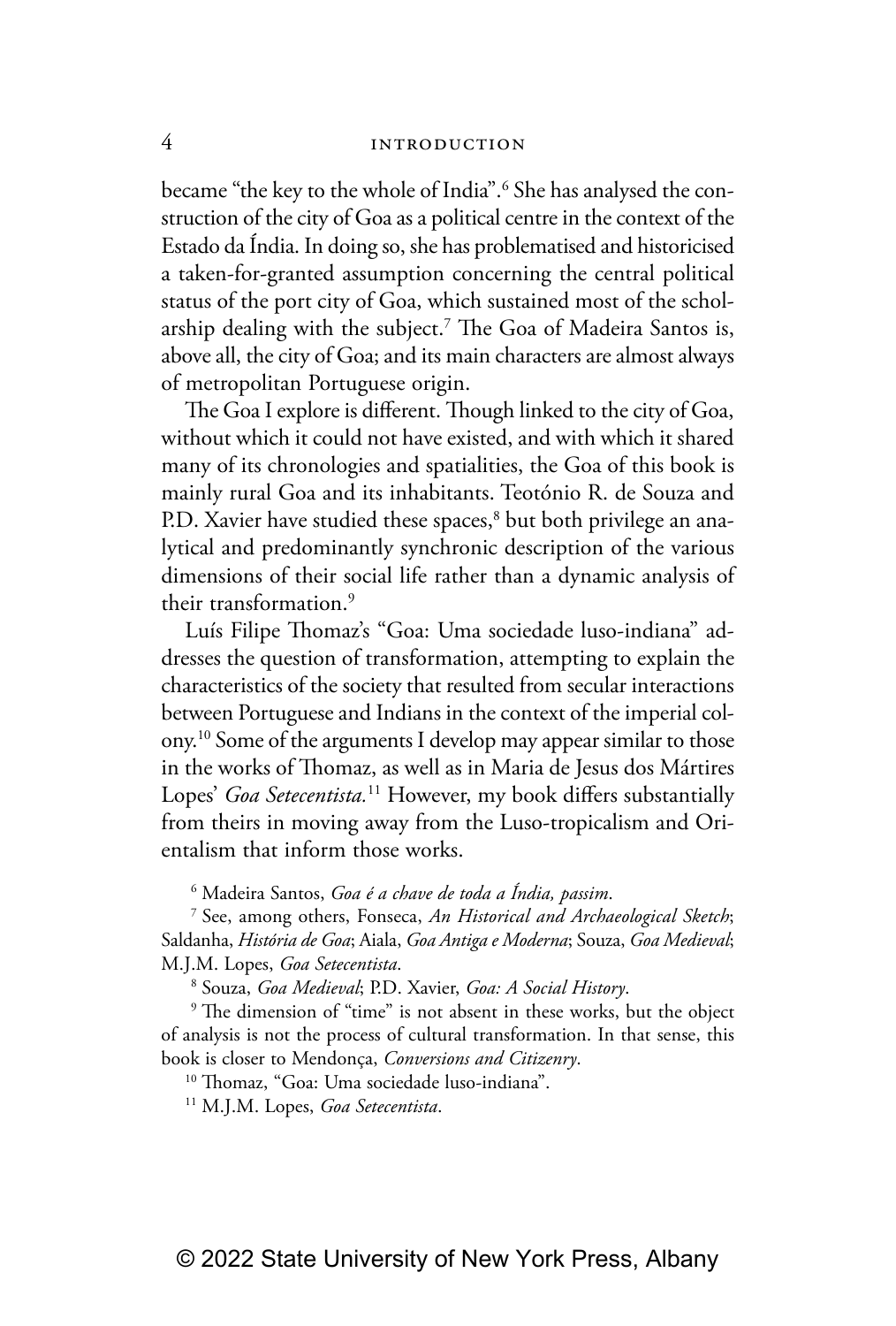became "the key to the whole of India".<sup>6</sup> She has analysed the construction of the city of Goa as a political centre in the context of the Estado da Índia. In doing so, she has problematised and historicised a taken-for-granted assumption concerning the central political status of the port city of Goa, which sustained most of the scholarship dealing with the subject.7 The Goa of Madeira Santos is, above all, the city of Goa; and its main characters are almost always of metropolitan Portuguese origin.

The Goa I explore is different. Though linked to the city of Goa, without which it could not have existed, and with which it shared many of its chronologies and spatialities, the Goa of this book is mainly rural Goa and its inhabitants. Teotónio R. de Souza and P.D. Xavier have studied these spaces,<sup>8</sup> but both privilege an analytical and predominantly synchronic description of the various dimensions of their social life rather than a dynamic analysis of their transformation.9

Luís Filipe Thomaz's "Goa: Uma sociedade luso-indiana" addresses the question of transformation, attempting to explain the characteristics of the society that resulted from secular interactions between Portuguese and Indians in the context of the imperial colony.10 Some of the arguments I develop may appear similar to those in the works of Thomaz, as well as in Maria de Jesus dos Mártires Lopes' *Goa Setecentista.*11 However, my book differs substantially from theirs in moving away from the Luso-tropicalism and Orientalism that inform those works.

6 Madeira Santos, *Goa é a chave de toda a Índia, passim*.

7 See, among others, Fonseca, *An Historical and Archaeological Sketch*; Saldanha, *História de Goa*; Aiala, *Goa Antiga e Moderna*; Souza, *Goa Medieval*; M.J.M. Lopes, *Goa Setecentista*.

8 Souza, *Goa Medieval*; P.D. Xavier, *Goa: A Social History*.

<sup>9</sup> The dimension of "time" is not absent in these works, but the object of analysis is not the process of cultural transformation. In that sense, this book is closer to Mendonça, *Conversions and Citizenry*.

<sup>10</sup> Thomaz, "Goa: Uma sociedade luso-indiana".

11 M.J.M. Lopes, *Goa Setecentista*.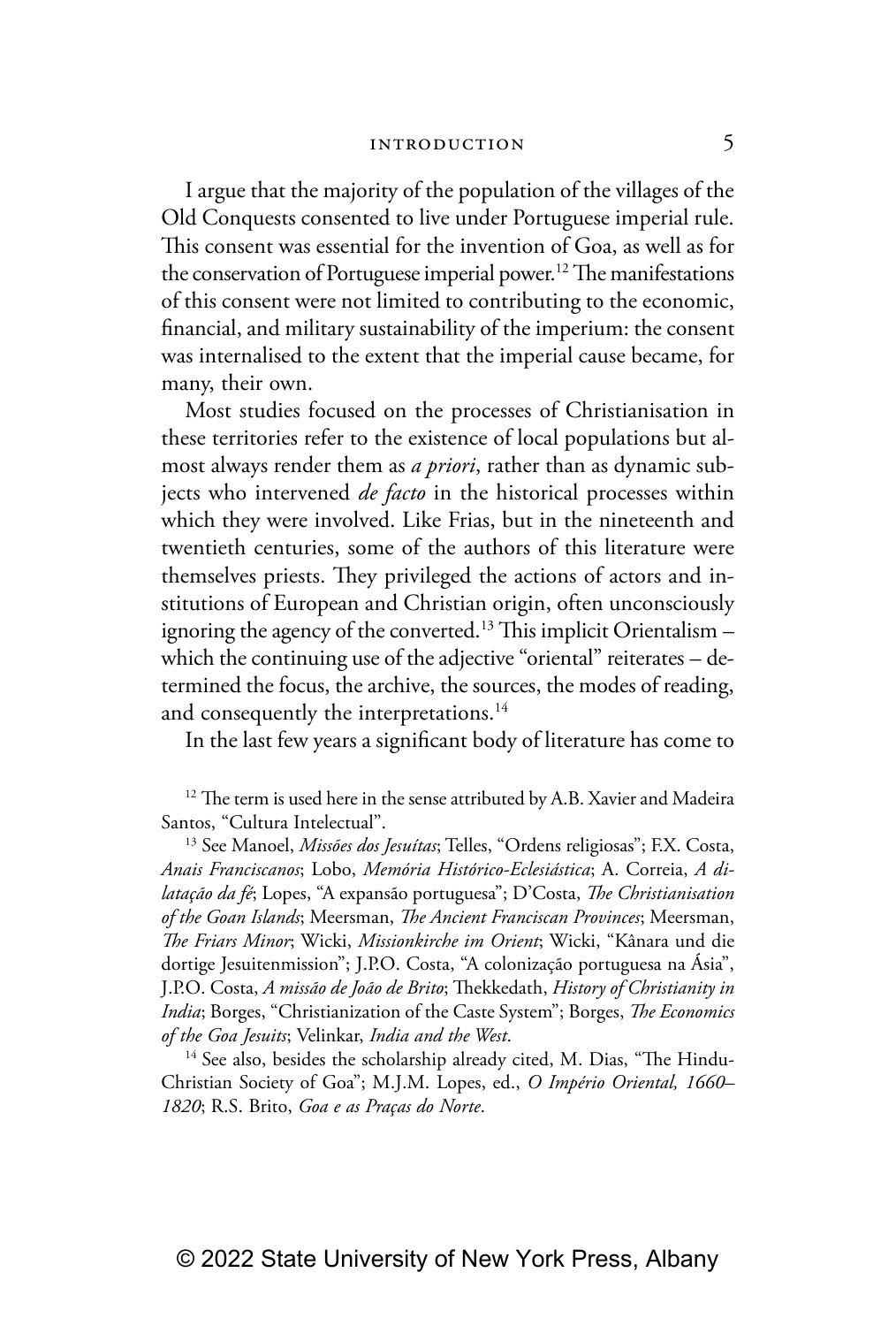I argue that the majority of the population of the villages of the Old Conquests consented to live under Portuguese imperial rule. This consent was essential for the invention of Goa, as well as for the conservation of Portuguese imperial power.<sup>12</sup> The manifestations of this consent were not limited to contributing to the economic, financial, and military sustainability of the imperium: the consent was internalised to the extent that the imperial cause became, for many, their own.

Most studies focused on the processes of Christianisation in these territories refer to the existence of local populations but almost always render them as *a priori*, rather than as dynamic subjects who intervened *de facto* in the historical processes within which they were involved. Like Frias, but in the nineteenth and twentieth centuries, some of the authors of this literature were themselves priests. They privileged the actions of actors and institutions of European and Christian origin, often unconsciously ignoring the agency of the converted.<sup>13</sup> This implicit Orientalism  $$ which the continuing use of the adjective "oriental" reiterates - determined the focus, the archive, the sources, the modes of reading, and consequently the interpretations.<sup>14</sup>

In the last few years a significant body of literature has come to

<sup>12</sup> The term is used here in the sense attributed by A.B. Xavier and Madeira Santos, "Cultura Intelectual". 13 See Manoel, *Missões dos Jesuítas*; Telles, "Ordens religiosas"; F.X. Costa,

*Anais Franciscanos*; Lobo, *Memória Histórico-Eclesiástica*; A. Correia, *A dilatação da fé*; Lopes, "A expansão portuguesa"; D'Costa, *The Christianisation of the Goan Islands*; Meersman, *The Ancient Franciscan Provinces*; Meersman, *The Friars Minor*; Wicki, *Missionkirche im Orient*; Wicki, "Kânara und die dortige Jesuitenmission"; J.P.O. Costa, "A colonização portuguesa na Ásia", J.P.O. Costa, *A missão de João de Brito*; Thekkedath, *History of Christianity in India*; Borges, "Christianization of the Caste System"; Borges, *The Economics of the Goa Jesuits*; Velinkar, *India and the West*.

<sup>14</sup> See also, besides the scholarship already cited, M. Dias, "The Hindu-Christian Society of Goa"; M.J.M. Lopes, ed., *O Império Oriental, 1660– 1820*; R.S. Brito, *Goa e as Praças do Norte*.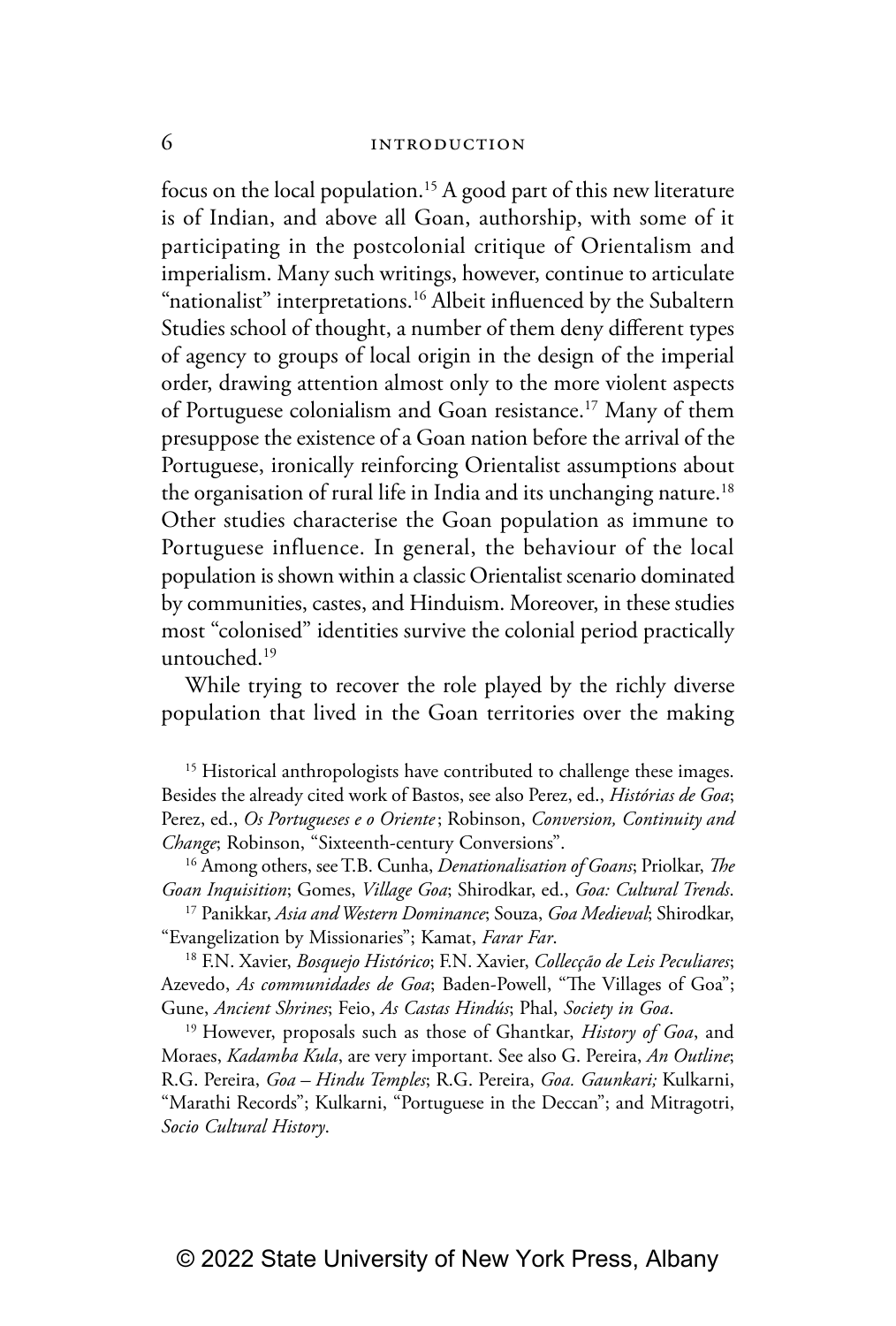focus on the local population.<sup>15</sup> A good part of this new literature is of Indian, and above all Goan, authorship, with some of it participating in the postcolonial critique of Orientalism and imperialism. Many such writings, however, continue to articulate "nationalist" interpretations.<sup>16</sup> Albeit influenced by the Subaltern Studies school of thought, a number of them deny different types of agency to groups of local origin in the design of the imperial order, drawing attention almost only to the more violent aspects of Portuguese colonialism and Goan resistance.<sup>17</sup> Many of them presuppose the existence of a Goan nation before the arrival of the Portuguese, ironically reinforcing Orientalist assumptions about the organisation of rural life in India and its unchanging nature.<sup>18</sup> Other studies characterise the Goan population as immune to Portuguese influence. In general, the behaviour of the local population is shown within a classic Orientalist scenario dominated by communities, castes, and Hinduism. Moreover, in these studies most "colonised" identities survive the colonial period practically untouched.19

While trying to recover the role played by the richly diverse population that lived in the Goan territories over the making

<sup>15</sup> Historical anthropologists have contributed to challenge these images. Besides the already cited work of Bastos, see also Perez, ed., *Histórias de Goa*; Perez, ed., *Os Portugueses e o Oriente*; Robinson, *Conversion, Continuity and Change*; Robinson, "Sixteenth-century Conversions".

16 Among others, see T.B. Cunha, *Denationalisation of Goans*; Priolkar, *The Goan Inquisition*; Gomes, *Village Goa*; Shirodkar, ed., *Goa: Cultural Trends*.

17 Panikkar, *Asia and Western Dominance*; Souza, *Goa Medieval*; Shirodkar, "Evangelization by Missionaries"; Kamat, *Farar Far*.

18 F.N. Xavier, *Bosquejo Histórico*; F.N. Xavier, *Collecção de Leis Peculiares*; Azevedo, *As communidades de Goa*; Baden-Powell, "The Villages of Goa"; Gune, *Ancient Shrines*; Feio, *As Castas Hindús*; Phal, *Society in Goa*.

19 However, proposals such as those of Ghantkar, *History of Goa*, and Moraes, *Kadamba Kula*, are very important. See also G. Pereira, *An Outline*; R.G. Pereira, *Goa – Hindu Temples*; R.G. Pereira, *Goa. Gaunkari;* Kulkarni, "Marathi Records"; Kulkarni, "Portuguese in the Deccan"; and Mitragotri, *Socio Cultural History*.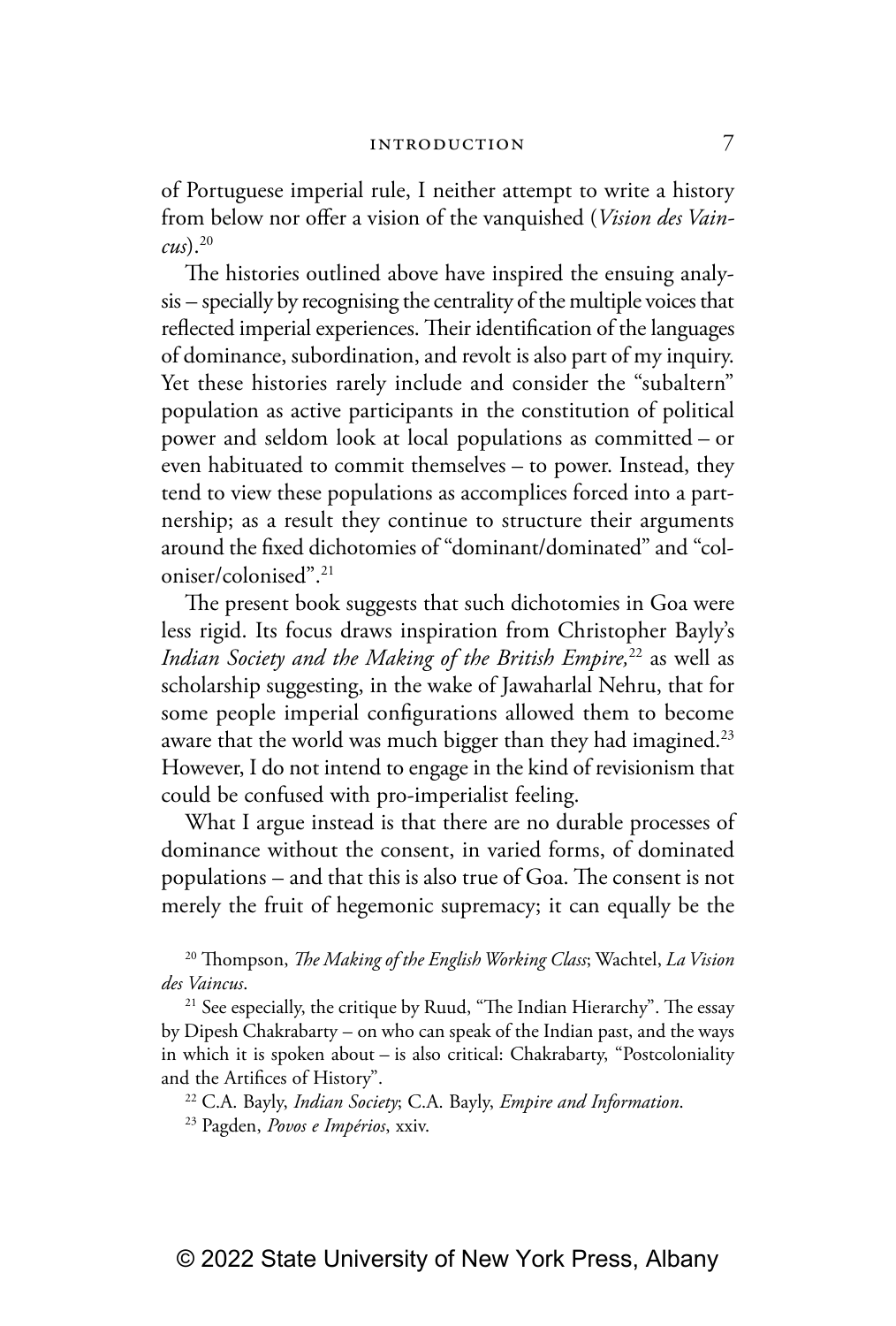of Portuguese imperial rule, I neither attempt to write a history from below nor offer a vision of the vanquished (*Vision des Vaincus*).20

The histories outlined above have inspired the ensuing analysis – specially by recognising the centrality of the multiple voices that reflected imperial experiences. Their identification of the languages of dominance, subordination, and revolt is also part of my inquiry. Yet these histories rarely include and consider the "subaltern" population as active participants in the constitution of political power and seldom look at local populations as committed – or even habituated to commit themselves – to power. Instead, they tend to view these populations as accomplices forced into a partnership; as a result they continue to structure their arguments around the fixed dichotomies of "dominant/dominated" and "coloniser/colonised".21

The present book suggests that such dichotomies in Goa were less rigid. Its focus draws inspiration from Christopher Bayly's *Indian Society and the Making of the British Empire*,<sup>22</sup> as well as scholarship suggesting, in the wake of Jawaharlal Nehru, that for some people imperial configurations allowed them to become aware that the world was much bigger than they had imagined.<sup>23</sup> However, I do not intend to engage in the kind of revisionism that could be confused with pro-imperialist feeling.

What I argue instead is that there are no durable processes of dominance without the consent, in varied forms, of dominated populations – and that this is also true of Goa. The consent is not merely the fruit of hegemonic supremacy; it can equally be the

20 Thompson, *The Making of the English Working Class*; Wachtel, *La Vision des Vaincus*.

<sup>21</sup> See especially, the critique by Ruud, "The Indian Hierarchy". The essay by Dipesh Chakrabarty – on who can speak of the Indian past, and the ways in which it is spoken about – is also critical: Chakrabarty, "Postcoloniality and the Artifices of History".

22 C.A. Bayly, *Indian Society*; C.A. Bayly, *Empire and Information*.

23 Pagden, *Povos e Impérios*, xxiv.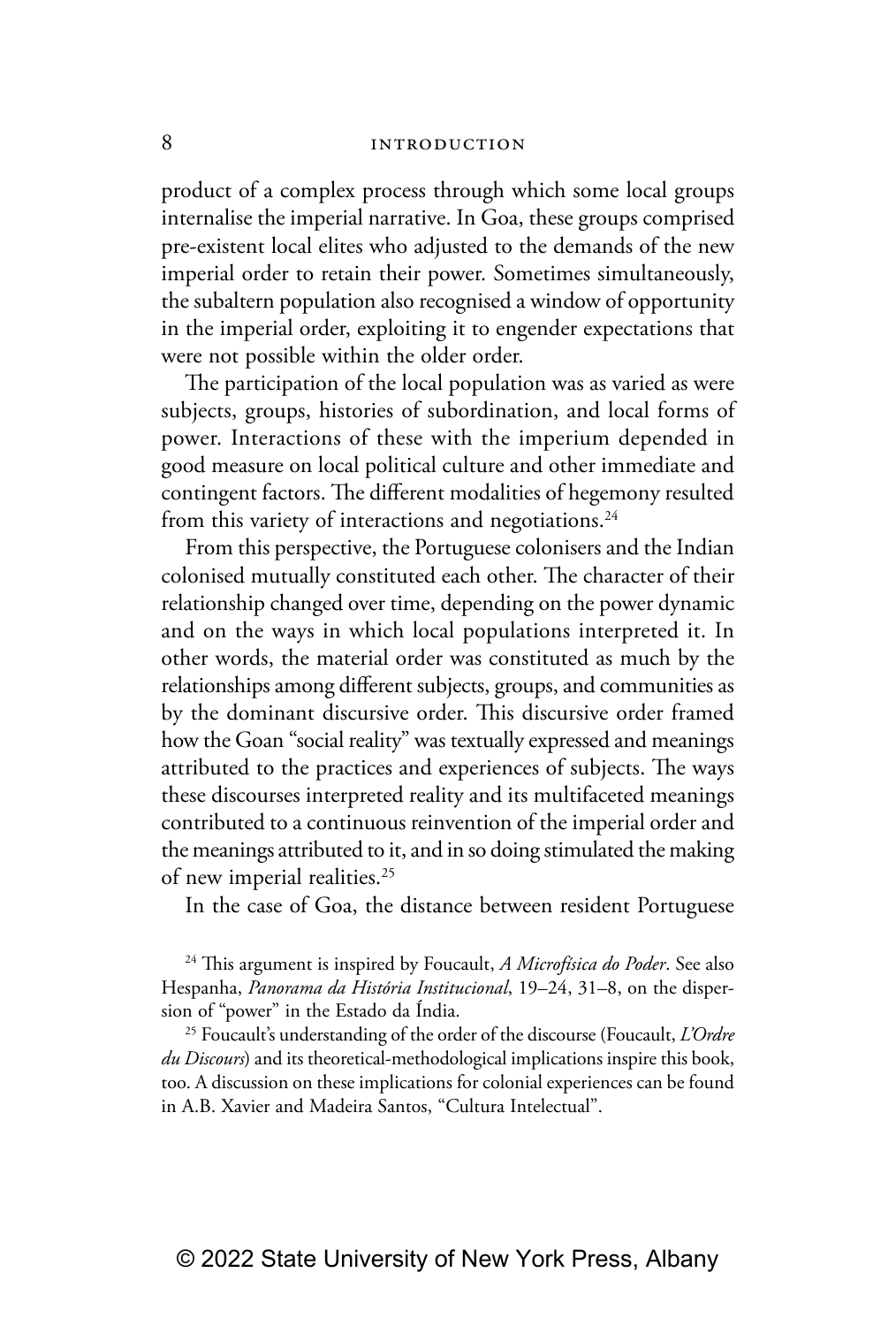product of a complex process through which some local groups internalise the imperial narrative. In Goa, these groups comprised pre-existent local elites who adjusted to the demands of the new imperial order to retain their power. Sometimes simultaneously, the subaltern population also recognised a window of opportunity in the imperial order, exploiting it to engender expectations that were not possible within the older order.

The participation of the local population was as varied as were subjects, groups, histories of subordination, and local forms of power. Interactions of these with the imperium depended in good measure on local political culture and other immediate and contingent factors. The different modalities of hegemony resulted from this variety of interactions and negotiations.<sup>24</sup>

From this perspective, the Portuguese colonisers and the Indian colonised mutually constituted each other. The character of their relationship changed over time, depending on the power dynamic and on the ways in which local populations interpreted it. In other words, the material order was constituted as much by the relationships among different subjects, groups, and communities as by the dominant discursive order. This discursive order framed how the Goan "social reality" was textually expressed and meanings attributed to the practices and experiences of subjects. The ways these discourses interpreted reality and its multifaceted meanings contributed to a continuous reinvention of the imperial order and the meanings attributed to it, and in so doing stimulated the making of new imperial realities.<sup>25</sup>

In the case of Goa, the distance between resident Portuguese

24 This argument is inspired by Foucault, *A Microfísica do Poder*. See also Hespanha, *Panorama da História Institucional*, 19–24, 31–8, on the dispersion of "power" in the Estado da Índia.

25 Foucault's understanding of the order of the discourse (Foucault, *L'Ordre du Discours*) and its theoretical-methodological implications inspire this book, too. A discussion on these implications for colonial experiences can be found in A.B. Xavier and Madeira Santos, "Cultura Intelectual".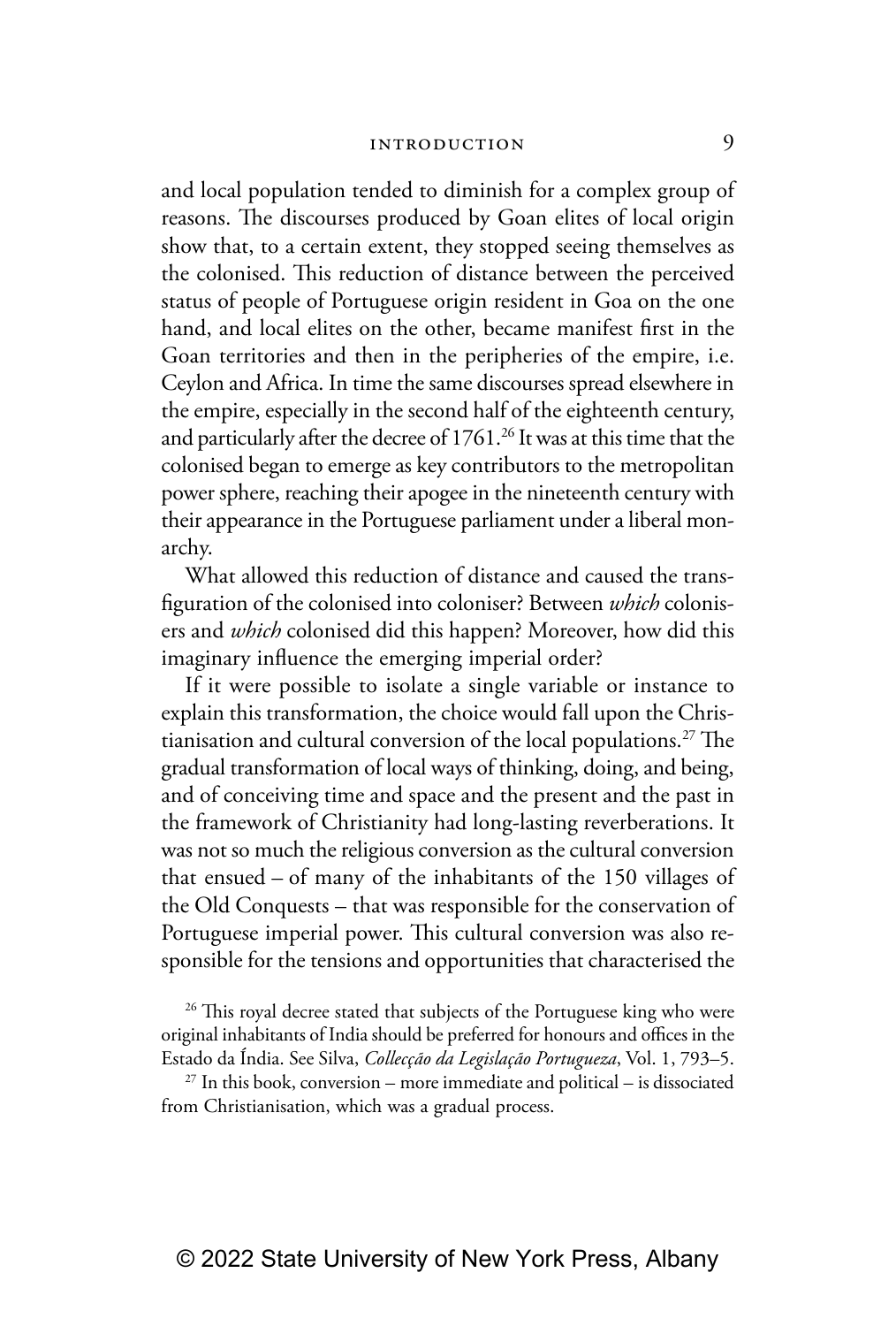and local population tended to diminish for a complex group of reasons. The discourses produced by Goan elites of local origin show that, to a certain extent, they stopped seeing themselves as the colonised. This reduction of distance between the perceived status of people of Portuguese origin resident in Goa on the one hand, and local elites on the other, became manifest first in the Goan territories and then in the peripheries of the empire, i.e. Ceylon and Africa. In time the same discourses spread elsewhere in the empire, especially in the second half of the eighteenth century, and particularly after the decree of 1761.<sup>26</sup> It was at this time that the colonised began to emerge as key contributors to the metropolitan power sphere, reaching their apogee in the nineteenth century with their appearance in the Portuguese parliament under a liberal monarchy.

What allowed this reduction of distance and caused the transfiguration of the colonised into coloniser? Between *which* colonisers and *which* colonised did this happen? Moreover, how did this imaginary influence the emerging imperial order?

If it were possible to isolate a single variable or instance to explain this transformation, the choice would fall upon the Christianisation and cultural conversion of the local populations.27 The gradual transformation of local ways of thinking, doing, and being, and of conceiving time and space and the present and the past in the framework of Christianity had long-lasting reverberations. It was not so much the religious conversion as the cultural conversion that ensued – of many of the inhabitants of the 150 villages of the Old Conquests – that was responsible for the conservation of Portuguese imperial power. This cultural conversion was also responsible for the tensions and opportunities that characterised the

<sup>26</sup> This royal decree stated that subjects of the Portuguese king who were original inhabitants of India should be preferred for honours and offices in the Estado da Índia. See Silva, *Collecção da Legislação Portugueza*, Vol. 1, 793–5.

 $27$  In this book, conversion – more immediate and political – is dissociated from Christianisation, which was a gradual process.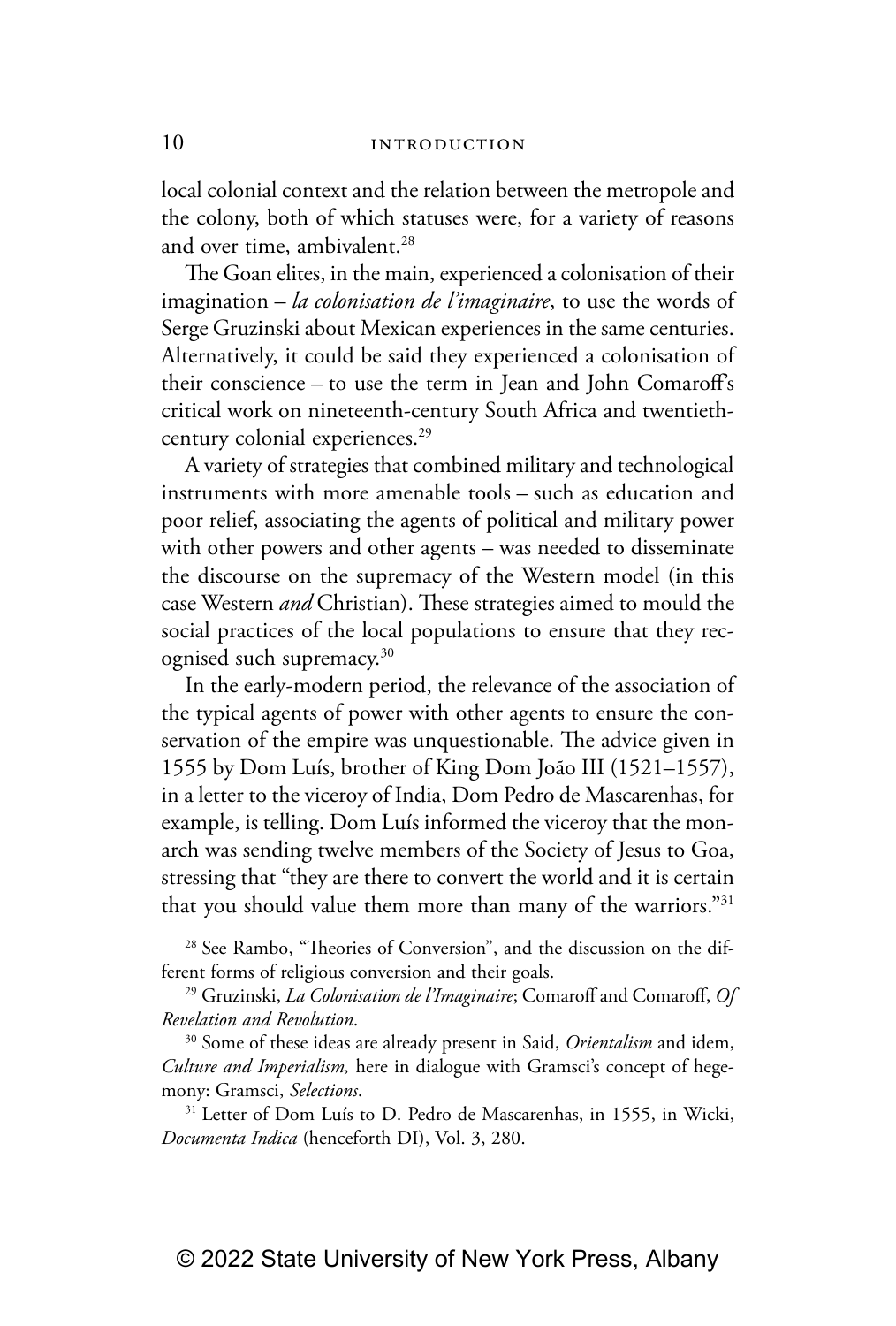local colonial context and the relation between the metropole and the colony, both of which statuses were, for a variety of reasons and over time, ambivalent.<sup>28</sup>

The Goan elites, in the main, experienced a colonisation of their imagination – *la colonisation de l'imaginaire*, to use the words of Serge Gruzinski about Mexican experiences in the same centuries. Alternatively, it could be said they experienced a colonisation of their conscience – to use the term in Jean and John Comaroff's critical work on nineteenth-century South Africa and twentiethcentury colonial experiences.<sup>29</sup>

A variety of strategies that combined military and technological instruments with more amenable tools – such as education and poor relief, associating the agents of political and military power with other powers and other agents – was needed to disseminate the discourse on the supremacy of the Western model (in this case Western *and* Christian). These strategies aimed to mould the social practices of the local populations to ensure that they recognised such supremacy.30

In the early-modern period, the relevance of the association of the typical agents of power with other agents to ensure the conservation of the empire was unquestionable. The advice given in 1555 by Dom Luís, brother of King Dom João III (1521–1557), in a letter to the viceroy of India, Dom Pedro de Mascarenhas, for example, is telling. Dom Luís informed the viceroy that the monarch was sending twelve members of the Society of Jesus to Goa, stressing that "they are there to convert the world and it is certain that you should value them more than many of the warriors."<sup>31</sup>

28 See Rambo, "Theories of Conversion", and the discussion on the different forms of religious conversion and their goals.

29 Gruzinski, *La Colonisation de l'Imaginaire*; Comaroff and Comaroff, *Of Revelation and Revolution*.

30 Some of these ideas are already present in Said, *Orientalism* and idem, *Culture and Imperialism,* here in dialogue with Gramsci's concept of hegemony: Gramsci, *Selections*.

<sup>31</sup> Letter of Dom Luís to D. Pedro de Mascarenhas, in 1555, in Wicki, *Documenta Indica* (henceforth DI), Vol. 3, 280.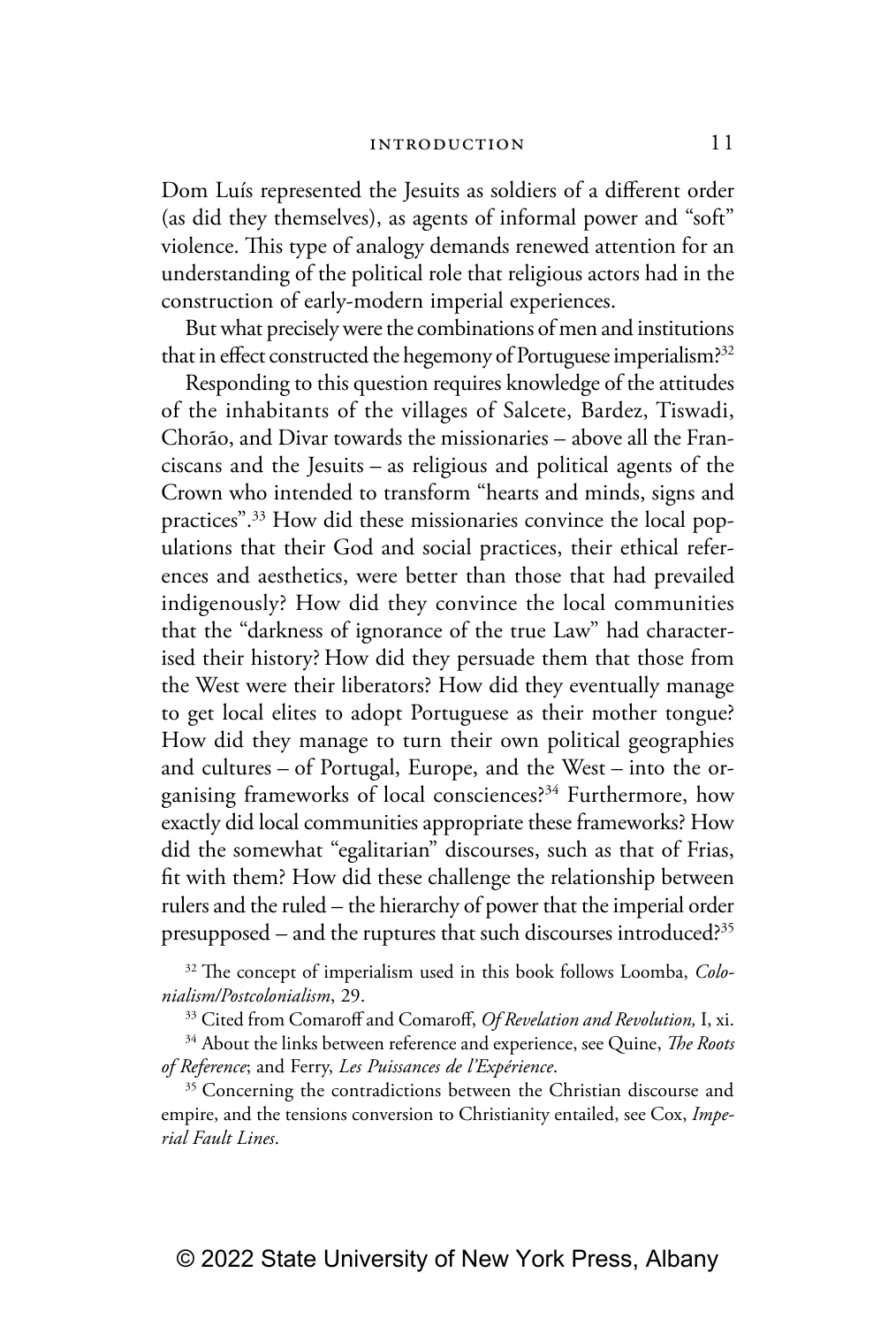Dom Luís represented the Jesuits as soldiers of a different order (as did they themselves), as agents of informal power and "soft" violence. This type of analogy demands renewed attention for an understanding of the political role that religious actors had in the construction of early-modern imperial experiences.

But what precisely were the combinations of men and institutions that in effect constructed the hegemony of Portuguese imperialism?<sup>32</sup>

Responding to this question requires knowledge of the attitudes of the inhabitants of the villages of Salcete, Bardez, Tiswadi, Chorão, and Divar towards the missionaries – above all the Franciscans and the Jesuits – as religious and political agents of the Crown who intended to transform "hearts and minds, signs and practices".33 How did these missionaries convince the local populations that their God and social practices, their ethical references and aesthetics, were better than those that had prevailed indigenously? How did they convince the local communities that the "darkness of ignorance of the true Law" had characterised their history? How did they persuade them that those from the West were their liberators? How did they eventually manage to get local elites to adopt Portuguese as their mother tongue? How did they manage to turn their own political geographies and cultures – of Portugal, Europe, and the West – into the organising frameworks of local consciences?<sup>34</sup> Furthermore, how exactly did local communities appropriate these frameworks? How did the somewhat "egalitarian" discourses, such as that of Frias, fit with them? How did these challenge the relationship between rulers and the ruled – the hierarchy of power that the imperial order presupposed – and the ruptures that such discourses introduced?35

32 The concept of imperialism used in this book follows Loomba, *Colonialism/Postcolonialism*, 29.

33 Cited from Comaroff and Comaroff, *Of Revelation and Revolution,* I, xi.

34 About the links between reference and experience, see Quine, *The Roots of Reference*; and Ferry, *Les Puissances de l'Expérience*.

<sup>35</sup> Concerning the contradictions between the Christian discourse and empire, and the tensions conversion to Christianity entailed, see Cox, *Imperial Fault Lines*.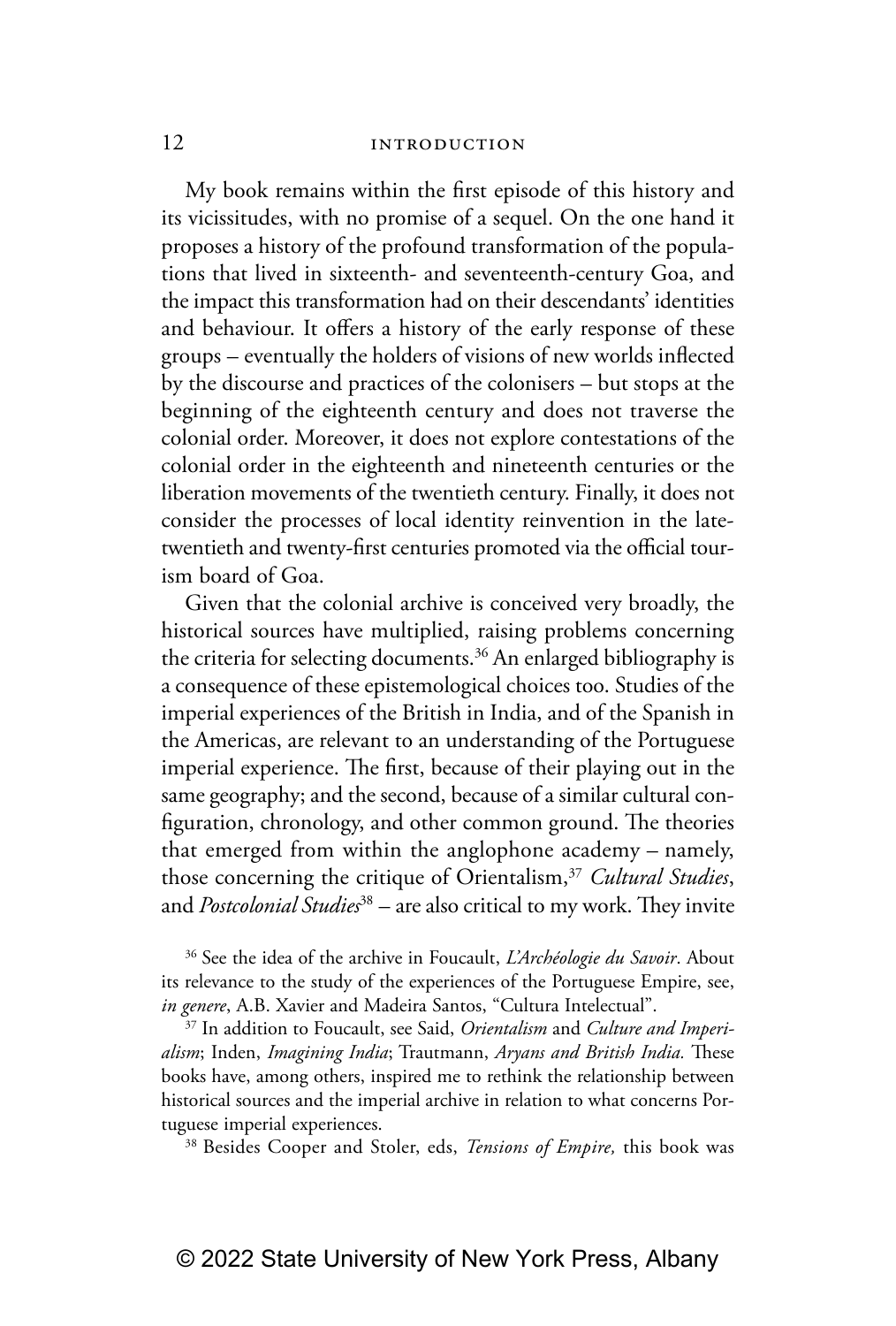My book remains within the first episode of this history and its vicissitudes, with no promise of a sequel. On the one hand it proposes a history of the profound transformation of the populations that lived in sixteenth- and seventeenth-century Goa, and the impact this transformation had on their descendants' identities and behaviour. It offers a history of the early response of these groups – eventually the holders of visions of new worlds inflected by the discourse and practices of the colonisers – but stops at the beginning of the eighteenth century and does not traverse the colonial order. Moreover, it does not explore contestations of the colonial order in the eighteenth and nineteenth centuries or the liberation movements of the twentieth century. Finally, it does not consider the processes of local identity reinvention in the latetwentieth and twenty-first centuries promoted via the official tourism board of Goa.

Given that the colonial archive is conceived very broadly, the historical sources have multiplied, raising problems concerning the criteria for selecting documents.<sup>36</sup> An enlarged bibliography is a consequence of these epistemological choices too. Studies of the imperial experiences of the British in India, and of the Spanish in the Americas, are relevant to an understanding of the Portuguese imperial experience. The first, because of their playing out in the same geography; and the second, because of a similar cultural configuration, chronology, and other common ground. The theories that emerged from within the anglophone academy – namely, those concerning the critique of Orientalism,37 *Cultural Studies*, and *Postcolonial Studies*38 – are also critical to my work. They invite

36 See the idea of the archive in Foucault, *L'Archéologie du Savoir*. About its relevance to the study of the experiences of the Portuguese Empire, see, *in genere*, A.B. Xavier and Madeira Santos, "Cultura Intelectual". 37 In addition to Foucault, see Said, *Orientalism* and *Culture and Imperi-*

*alism*; Inden, *Imagining India*; Trautmann, *Aryans and British India.* These books have, among others, inspired me to rethink the relationship between historical sources and the imperial archive in relation to what concerns Portuguese imperial experiences.

38 Besides Cooper and Stoler, eds, *Tensions of Empire,* this book was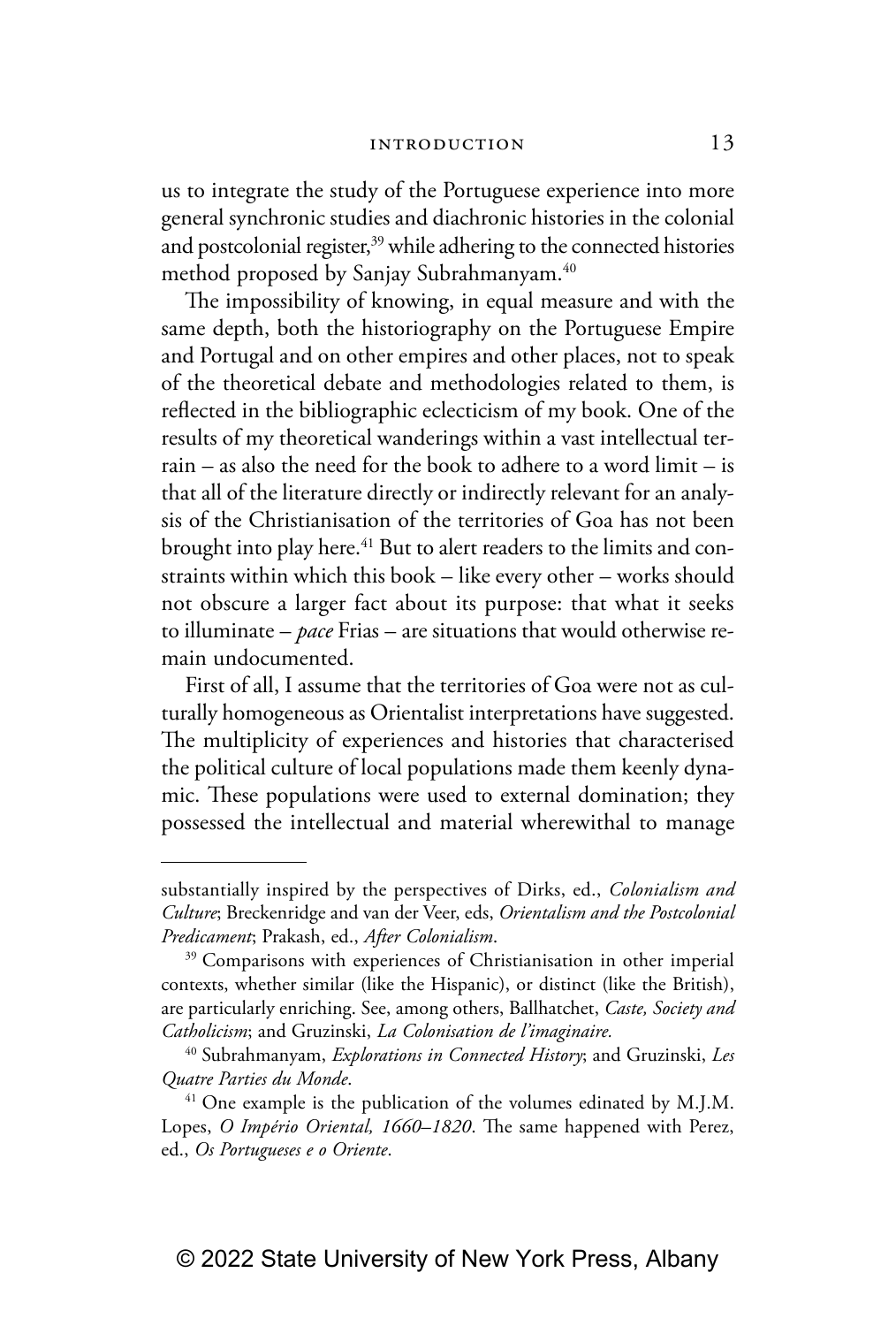us to integrate the study of the Portuguese experience into more general synchronic studies and diachronic histories in the colonial and postcolonial register,<sup>39</sup> while adhering to the connected histories method proposed by Sanjay Subrahmanyam.<sup>40</sup>

The impossibility of knowing, in equal measure and with the same depth, both the historiography on the Portuguese Empire and Portugal and on other empires and other places, not to speak of the theoretical debate and methodologies related to them, is reflected in the bibliographic eclecticism of my book. One of the results of my theoretical wanderings within a vast intellectual terrain – as also the need for the book to adhere to a word limit – is that all of the literature directly or indirectly relevant for an analysis of the Christianisation of the territories of Goa has not been brought into play here.<sup>41</sup> But to alert readers to the limits and constraints within which this book – like every other – works should not obscure a larger fact about its purpose: that what it seeks to illuminate – *pace* Frias – are situations that would otherwise remain undocumented.

First of all, I assume that the territories of Goa were not as culturally homogeneous as Orientalist interpretations have suggested. The multiplicity of experiences and histories that characterised the political culture of local populations made them keenly dynamic. These populations were used to external domination; they possessed the intellectual and material wherewithal to manage

substantially inspired by the perspectives of Dirks, ed., *Colonialism and Culture*; Breckenridge and van der Veer, eds, *Orientalism and the Postcolonial Predicament*; Prakash, ed., *After Colonialism*.

<sup>&</sup>lt;sup>39</sup> Comparisons with experiences of Christianisation in other imperial contexts, whether similar (like the Hispanic), or distinct (like the British), are particularly enriching. See, among others, Ballhatchet, *Caste, Society and Catholicism*; and Gruzinski, *La Colonisation de l'imaginaire.*

<sup>40</sup> Subrahmanyam, *Explorations in Connected History*; and Gruzinski, *Les Quatre Parties du Monde*.

 $41$  One example is the publication of the volumes edinated by M.J.M. Lopes, *O Império Oriental, 1660–1820*. The same happened with Perez, ed., *Os Portugueses e o Oriente*.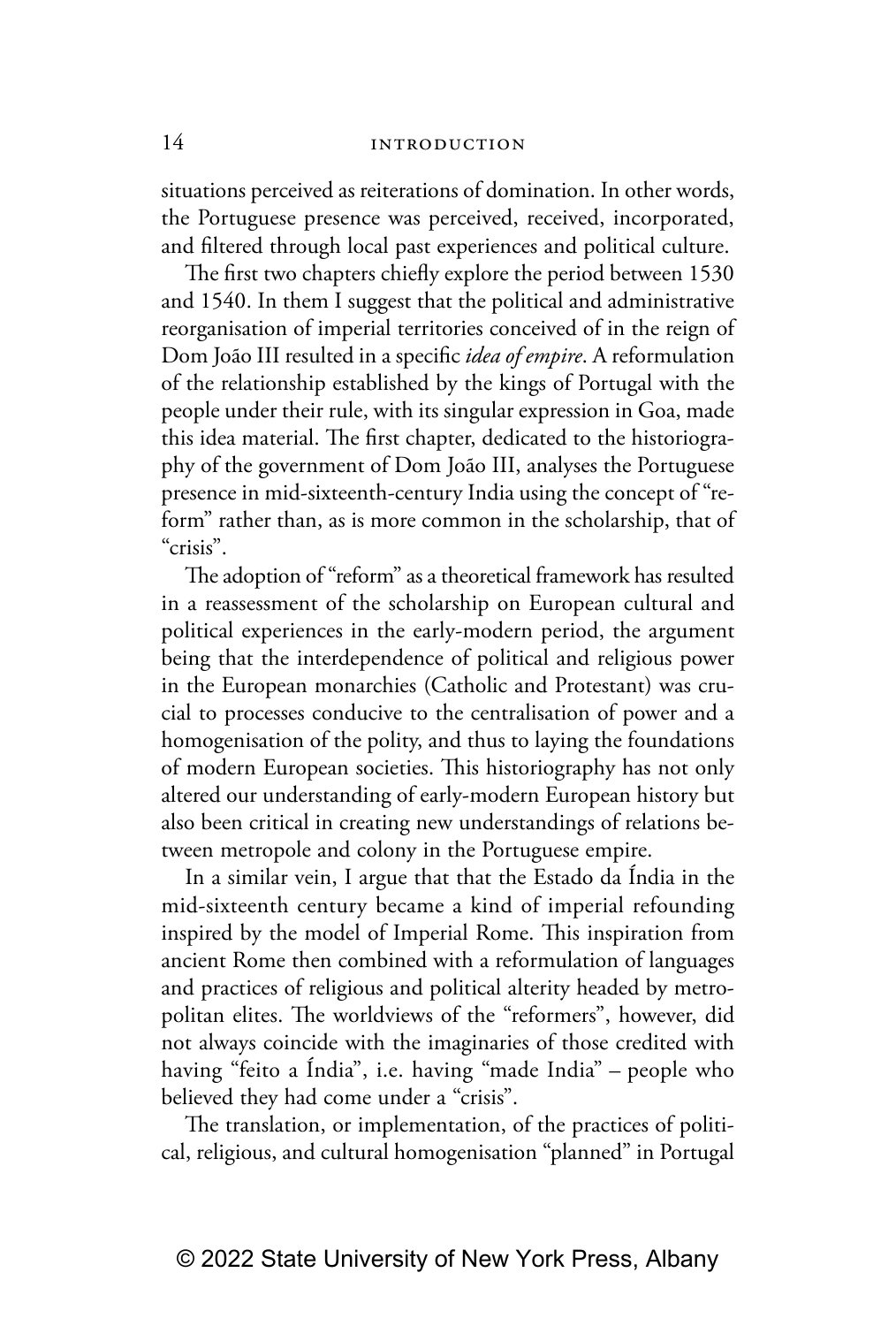situations perceived as reiterations of domination. In other words, the Portuguese presence was perceived, received, incorporated, and filtered through local past experiences and political culture.

The first two chapters chiefly explore the period between 1530 and 1540. In them I suggest that the political and administrative reorganisation of imperial territories conceived of in the reign of Dom João III resulted in a specific *idea of empire*. A reformulation of the relationship established by the kings of Portugal with the people under their rule, with its singular expression in Goa, made this idea material. The first chapter, dedicated to the historiography of the government of Dom João III, analyses the Portuguese presence in mid-sixteenth-century India using the concept of "reform" rather than, as is more common in the scholarship, that of "crisis".

The adoption of "reform" as a theoretical framework has resulted in a reassessment of the scholarship on European cultural and political experiences in the early-modern period, the argument being that the interdependence of political and religious power in the European monarchies (Catholic and Protestant) was crucial to processes conducive to the centralisation of power and a homogenisation of the polity, and thus to laying the foundations of modern European societies. This historiography has not only altered our understanding of early-modern European history but also been critical in creating new understandings of relations between metropole and colony in the Portuguese empire.

In a similar vein, I argue that that the Estado da Índia in the mid-sixteenth century became a kind of imperial refounding inspired by the model of Imperial Rome. This inspiration from ancient Rome then combined with a reformulation of languages and practices of religious and political alterity headed by metropolitan elites. The worldviews of the "reformers", however, did not always coincide with the imaginaries of those credited with having "feito a Índia", i.e. having "made India" – people who believed they had come under a "crisis".

The translation, or implementation, of the practices of political, religious, and cultural homogenisation "planned" in Portugal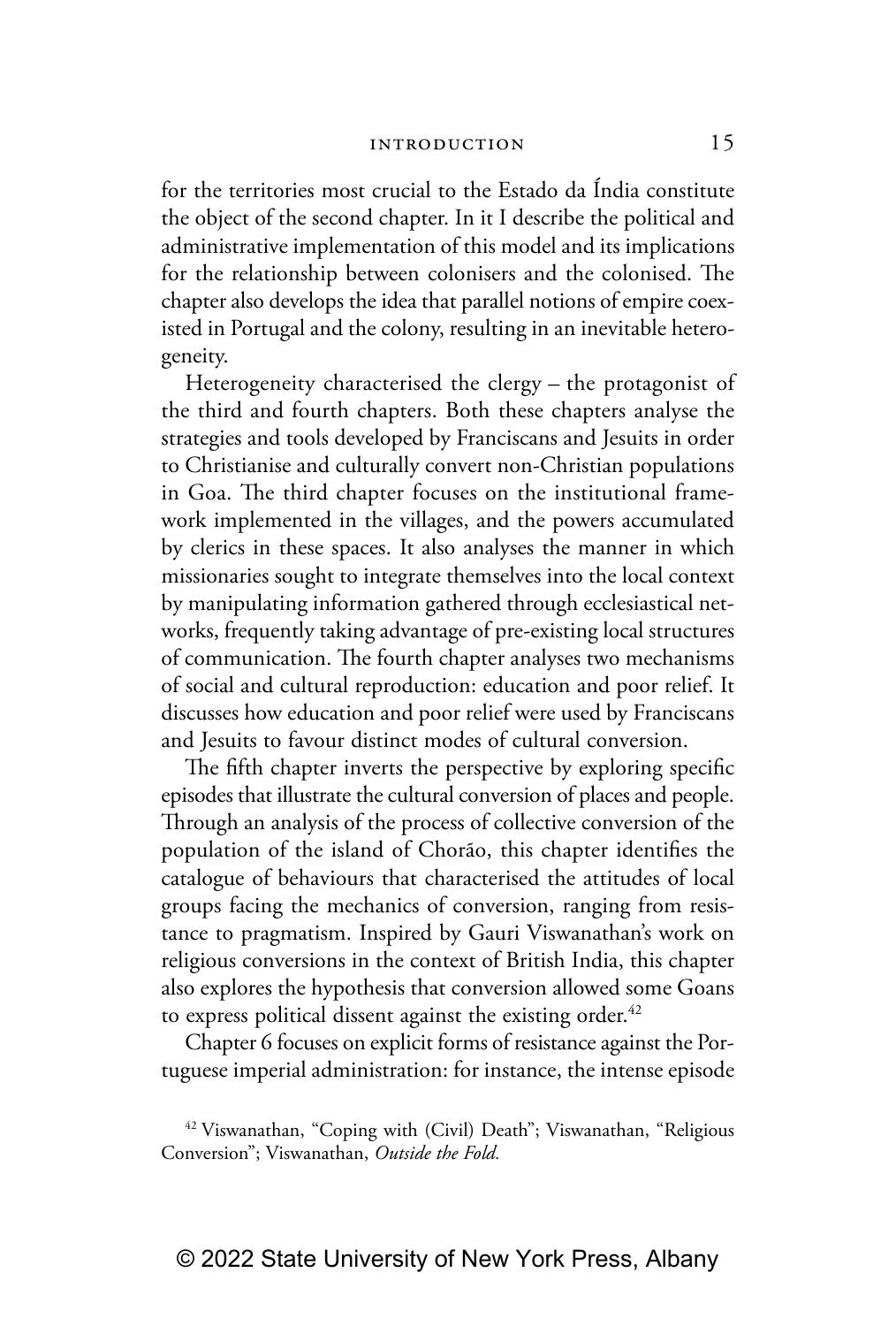for the territories most crucial to the Estado da Índia constitute the object of the second chapter. In it I describe the political and administrative implementation of this model and its implications for the relationship between colonisers and the colonised. The chapter also develops the idea that parallel notions of empire coexisted in Portugal and the colony, resulting in an inevitable heterogeneity.

Heterogeneity characterised the clergy – the protagonist of the third and fourth chapters. Both these chapters analyse the strategies and tools developed by Franciscans and Jesuits in order to Christianise and culturally convert non-Christian populations in Goa. The third chapter focuses on the institutional framework implemented in the villages, and the powers accumulated by clerics in these spaces. It also analyses the manner in which missionaries sought to integrate themselves into the local context by manipulating information gathered through ecclesiastical networks, frequently taking advantage of pre-existing local structures of communication. The fourth chapter analyses two mechanisms of social and cultural reproduction: education and poor relief. It discusses how education and poor relief were used by Franciscans and Jesuits to favour distinct modes of cultural conversion.

The fifth chapter inverts the perspective by exploring specific episodes that illustrate the cultural conversion of places and people. Through an analysis of the process of collective conversion of the population of the island of Chorão, this chapter identifies the catalogue of behaviours that characterised the attitudes of local groups facing the mechanics of conversion, ranging from resistance to pragmatism. Inspired by Gauri Viswanathan's work on religious conversions in the context of British India, this chapter also explores the hypothesis that conversion allowed some Goans to express political dissent against the existing order.<sup>42</sup>

Chapter 6 focuses on explicit forms of resistance against the Portuguese imperial administration: for instance, the intense episode

<sup>&</sup>lt;sup>42</sup> Viswanathan, "Coping with (Civil) Death"; Viswanathan, "Religious Conversion"; Viswanathan, *Outside the Fold.*